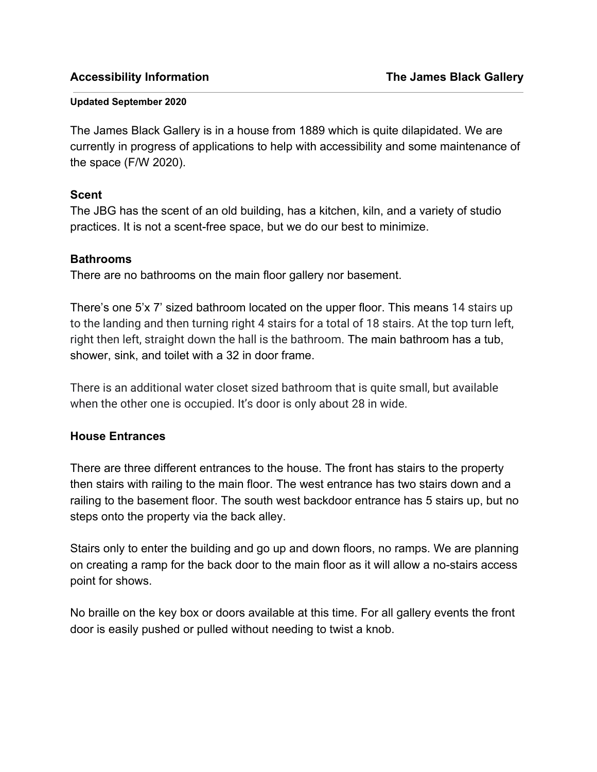#### **Updated September 2020**

The James Black Gallery is in a house from 1889 which is quite dilapidated. We are currently in progress of applications to help with accessibility and some maintenance of the space (F/W 2020).

## **Scent**

The JBG has the scent of an old building, has a kitchen, kiln, and a variety of studio practices. It is not a scent-free space, but we do our best to minimize.

### **Bathrooms**

There are no bathrooms on the main floor gallery nor basement.

There's one 5'x 7' sized bathroom located on the upper floor. This means 14 stairs up to the landing and then turning right 4 stairs for a total of 18 stairs. At the top turn left, right then left, straight down the hall is the bathroom. The main bathroom has a tub, shower, sink, and toilet with a 32 in door frame.

There is an additional water closet sized bathroom that is quite small, but available when the other one is occupied. It's door is only about 28 in wide.

## **House Entrances**

There are three different entrances to the house. The front has stairs to the property then stairs with railing to the main floor. The west entrance has two stairs down and a railing to the basement floor. The south west backdoor entrance has 5 stairs up, but no steps onto the property via the back alley.

Stairs only to enter the building and go up and down floors, no ramps. We are planning on creating a ramp for the back door to the main floor as it will allow a no-stairs access point for shows.

No braille on the key box or doors available at this time. For all gallery events the front door is easily pushed or pulled without needing to twist a knob.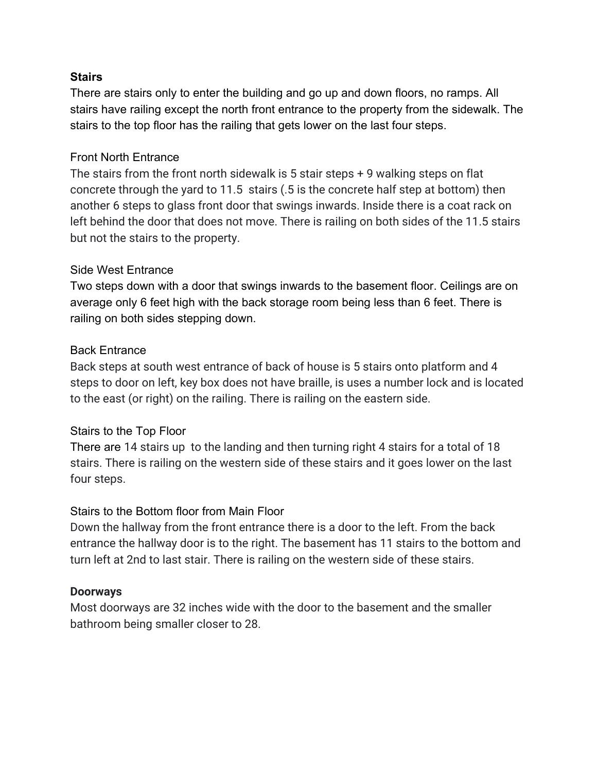### **Stairs**

There are stairs only to enter the building and go up and down floors, no ramps. All stairs have railing except the north front entrance to the property from the sidewalk. The stairs to the top floor has the railing that gets lower on the last four steps.

## Front North Entrance

The stairs from the front north sidewalk is 5 stair steps + 9 walking steps on flat concrete through the yard to 11.5 stairs (.5 is the concrete half step at bottom) then another 6 steps to glass front door that swings inwards. Inside there is a coat rack on left behind the door that does not move. There is railing on both sides of the 11.5 stairs but not the stairs to the property.

## Side West Entrance

Two steps down with a door that swings inwards to the basement floor. Ceilings are on average only 6 feet high with the back storage room being less than 6 feet. There is railing on both sides stepping down.

## Back Entrance

Back steps at south west entrance of back of house is 5 stairs onto platform and 4 steps to door on left, key box does not have braille, is uses a number lock and is located to the east (or right) on the railing. There is railing on the eastern side.

## Stairs to the Top Floor

There are 14 stairs up to the landing and then turning right 4 stairs for a total of 18 stairs. There is railing on the western side of these stairs and it goes lower on the last four steps.

### Stairs to the Bottom floor from Main Floor

Down the hallway from the front entrance there is a door to the left. From the back entrance the hallway door is to the right. The basement has 11 stairs to the bottom and turn left at 2nd to last stair. There is railing on the western side of these stairs.

### **Doorways**

Most doorways are 32 inches wide with the door to the basement and the smaller bathroom being smaller closer to 28.